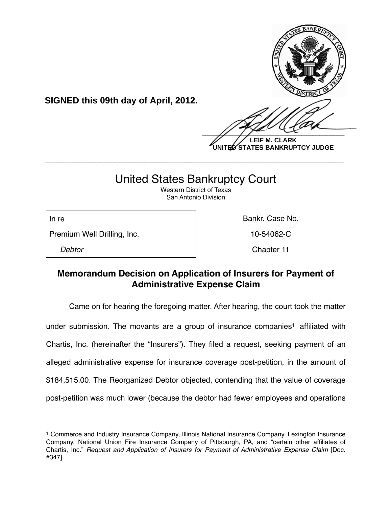

**UNITED STATES BANKRUPTCY JUDGE**

# United States Bankruptcy Court

**\_\_\_\_\_\_\_\_\_\_\_\_\_\_\_\_\_\_\_\_\_\_\_\_\_\_\_\_\_\_\_\_\_\_\_\_\_\_\_\_\_\_\_\_\_\_\_\_\_\_\_\_\_\_\_\_\_\_\_\_**

Western District of Texas San Antonio Division

Premium Well Drilling, Inc. 10-54062-C

**SIGNED this 09th day of April, 2012.**

In re **Bankr.** Case No.

*Debtor* Chapter 11

## **Memorandum Decision on Application of Insurers for Payment of Administrative Expense Claim**

Came on for hearing the foregoing matter. After hearing, the court took the matter under submission. The movants are a group of insurance companies<sup>1</sup> affiliated with Chartis, Inc. (hereinafter the "Insurers"). They filed a request, seeking payment of an alleged administrative expense for insurance coverage post-petition, in the amount of \$184,515.00. The Reorganized Debtor objected, contending that the value of coverage post-petition was much lower (because the debtor had fewer employees and operations

<span id="page-0-0"></span><sup>1</sup> Commerce and Industry Insurance Company, Illinois National Insurance Company, Lexington Insurance Company, National Union Fire Insurance Company of Pittsburgh, PA, and "certain other affiliates of Chartis, Inc." *Request and Application of Insurers for Payment of Administrative Expense Claim* [Doc. #347].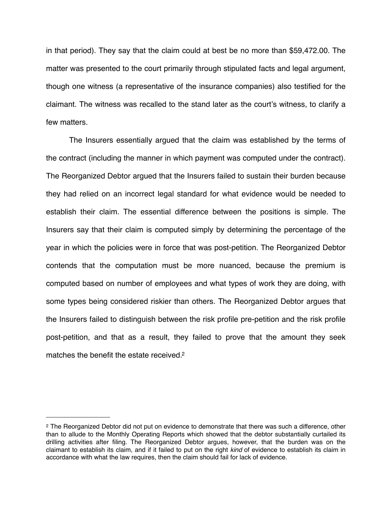in that period). They say that the claim could at best be no more than \$59,472.00. The matter was presented to the court primarily through stipulated facts and legal argument, though one witness (a representative of the insurance companies) also testified for the claimant. The witness was recalled to the stand later as the court's witness, to clarify a few matters.

The Insurers essentially argued that the claim was established by the terms of the contract (including the manner in which payment was computed under the contract). The Reorganized Debtor argued that the Insurers failed to sustain their burden because they had relied on an incorrect legal standard for what evidence would be needed to establish their claim. The essential difference between the positions is simple. The Insurers say that their claim is computed simply by determining the percentage of the year in which the policies were in force that was post-petition. The Reorganized Debtor contends that the computation must be more nuanced, because the premium is computed based on number of employees and what types of work they are doing, with some types being considered riskier than others. The Reorganized Debtor argues that the Insurers failed to distinguish between the risk profile pre-petition and the risk profile post-petition, and that as a result, they failed to prove that the amount they seek matches the benefit the estate received.<sup>2</sup>

<span id="page-1-0"></span><sup>&</sup>lt;sup>2</sup> The Reorganized Debtor did not put on evidence to demonstrate that there was such a difference, other than to allude to the Monthly Operating Reports which showed that the debtor substantially curtailed its drilling activities after filing. The Reorganized Debtor argues, however, that the burden was on the claimant to establish its claim, and if it failed to put on the right *kind* of evidence to establish its claim in accordance with what the law requires, then the claim should fail for lack of evidence.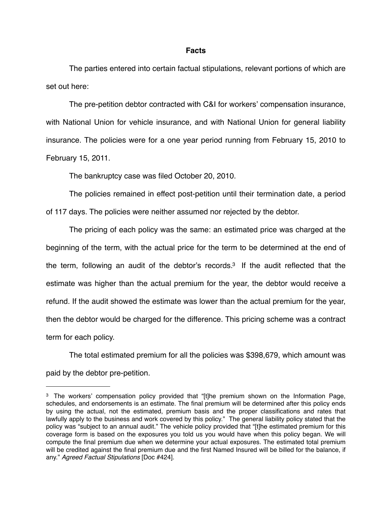#### **Facts**

The parties entered into certain factual stipulations, relevant portions of which are set out here:

The pre-petition debtor contracted with C&I for workers' compensation insurance, with National Union for vehicle insurance, and with National Union for general liability insurance. The policies were for a one year period running from February 15, 2010 to February 15, 2011.

The bankruptcy case was filed October 20, 2010.

The policies remained in effect post-petition until their termination date, a period of 117 days. The policies were neither assumed nor rejected by the debtor.

The pricing of each policy was the same: an estimated price was charged at the beginning of the term, with the actual price for the term to be determined at the end of the term, following an audit of the debtor's records[.3](#page-2-0) If the audit reflected that the estimate was higher than the actual premium for the year, the debtor would receive a refund. If the audit showed the estimate was lower than the actual premium for the year, then the debtor would be charged for the difference. This pricing scheme was a contract term for each policy.

The total estimated premium for all the policies was \$398,679, which amount was paid by the debtor pre-petition.

<span id="page-2-0"></span><sup>3</sup> The workers' compensation policy provided that "[t]he premium shown on the Information Page, schedules, and endorsements is an estimate. The final premium will be determined after this policy ends by using the actual, not the estimated, premium basis and the proper classifications and rates that lawfully apply to the business and work covered by this policy." The general liability policy stated that the policy was "subject to an annual audit." The vehicle policy provided that "[t]he estimated premium for this coverage form is based on the exposures you told us you would have when this policy began. We will compute the final premium due when we determine your actual exposures. The estimated total premium will be credited against the final premium due and the first Named Insured will be billed for the balance, if any." *Agreed Factual Stipulations* [Doc #424].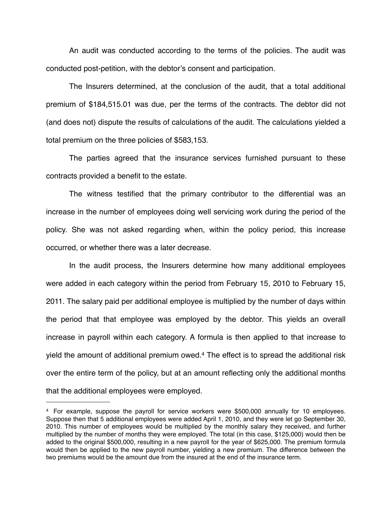An audit was conducted according to the terms of the policies. The audit was conducted post-petition, with the debtor's consent and participation.

The Insurers determined, at the conclusion of the audit, that a total additional premium of \$184,515.01 was due, per the terms of the contracts. The debtor did not (and does not) dispute the results of calculations of the audit. The calculations yielded a total premium on the three policies of \$583,153.

The parties agreed that the insurance services furnished pursuant to these contracts provided a benefit to the estate.

The witness testified that the primary contributor to the differential was an increase in the number of employees doing well servicing work during the period of the policy. She was not asked regarding when, within the policy period, this increase occurred, or whether there was a later decrease.

In the audit process, the Insurers determine how many additional employees were added in each category within the period from February 15, 2010 to February 15, 2011. The salary paid per additional employee is multiplied by the number of days within the period that that employee was employed by the debtor. This yields an overall increase in payroll within each category. A formula is then applied to that increase to yield the amount of additional premium owed.[4](#page-3-0) The effect is to spread the additional risk over the entire term of the policy, but at an amount reflecting only the additional months that the additional employees were employed.

<span id="page-3-0"></span><sup>4</sup> For example, suppose the payroll for service workers were \$500,000 annually for 10 employees. Suppose then that 5 additional employees were added April 1, 2010, and they were let go September 30, 2010. This number of employees would be multiplied by the monthly salary they received, and further multiplied by the number of months they were employed. The total (in this case, \$125,000) would then be added to the original \$500,000, resulting in a new payroll for the year of \$625,000. The premium formula would then be applied to the new payroll number, yielding a new premium. The difference between the two premiums would be the amount due from the insured at the end of the insurance term.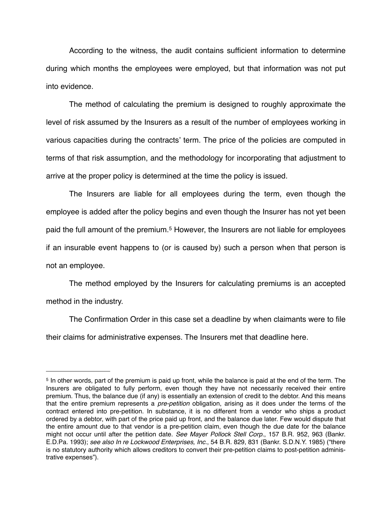According to the witness, the audit contains sufficient information to determine during which months the employees were employed, but that information was not put into evidence.

The method of calculating the premium is designed to roughly approximate the level of risk assumed by the Insurers as a result of the number of employees working in various capacities during the contracts' term. The price of the policies are computed in terms of that risk assumption, and the methodology for incorporating that adjustment to arrive at the proper policy is determined at the time the policy is issued.

The Insurers are liable for all employees during the term, even though the employee is added after the policy begins and even though the Insurer has not yet been paid the full amount of the premium.<sup>[5](#page-4-0)</sup> However, the Insurers are not liable for employees if an insurable event happens to (or is caused by) such a person when that person is not an employee.

The method employed by the Insurers for calculating premiums is an accepted method in the industry.

The Confirmation Order in this case set a deadline by when claimants were to file their claims for administrative expenses. The Insurers met that deadline here.

<span id="page-4-0"></span><sup>5</sup> In other words, part of the premium is paid up front, while the balance is paid at the end of the term. The Insurers are obligated to fully perform, even though they have not necessarily received their entire premium. Thus, the balance due (if any) is essentially an extension of credit to the debtor. And this means that the entire premium represents a *pre-petition* obligation, arising as it does under the terms of the contract entered into pre-petition. In substance, it is no different from a vendor who ships a product ordered by a debtor, with part of the price paid up front, and the balance due later. Few would dispute that the entire amount due to that vendor is a pre-petition claim, even though the due date for the balance might not occur until after the petition date. *See Mayer Pollock Stell Corp.*, 157 B.R. 952, 963 (Bankr. E.D.Pa. 1993); *see also In re Lockwood Enterprises, Inc.*, 54 B.R. 829, 831 (Bankr. S.D.N.Y. 1985) ("there is no statutory authority which allows creditors to convert their pre-petition claims to post-petition administrative expenses").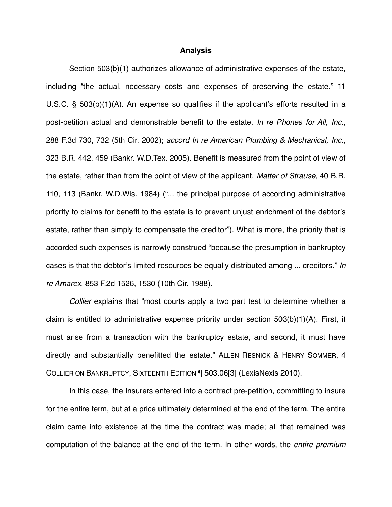#### **Analysis**

Section 503(b)(1) authorizes allowance of administrative expenses of the estate, including "the actual, necessary costs and expenses of preserving the estate." 11 U.S.C. § 503(b)(1)(A). An expense so qualifies if the applicant's efforts resulted in a post-petition actual and demonstrable benefit to the estate. *In re Phones for All, Inc.*, 288 F.3d 730, 732 (5th Cir. 2002); *accord In re American Plumbing & Mechanical, Inc.*, 323 B.R. 442, 459 (Bankr. W.D.Tex. 2005). Benefit is measured from the point of view of the estate, rather than from the point of view of the applicant. *Matter of Strause*, 40 B.R. 110, 113 (Bankr. W.D.Wis. 1984) ("... the principal purpose of according administrative priority to claims for benefit to the estate is to prevent unjust enrichment of the debtor's estate, rather than simply to compensate the creditor"). What is more, the priority that is accorded such expenses is narrowly construed "because the presumption in bankruptcy cases is that the debtor's limited resources be equally distributed among ... creditors." *In re Amarex*, 853 F.2d 1526, 1530 (10th Cir. 1988).

*Collier* explains that "most courts apply a two part test to determine whether a claim is entitled to administrative expense priority under section 503(b)(1)(A). First, it must arise from a transaction with the bankruptcy estate, and second, it must have directly and substantially benefitted the estate." ALLEN RESNICK & HENRY SOMMER, 4 COLLIER ON BANKRUPTCY, SIXTEENTH EDITION ¶ 503.06[3] (LexisNexis 2010).

In this case, the Insurers entered into a contract pre-petition, committing to insure for the entire term, but at a price ultimately determined at the end of the term. The entire claim came into existence at the time the contract was made; all that remained was computation of the balance at the end of the term. In other words, the *entire premium*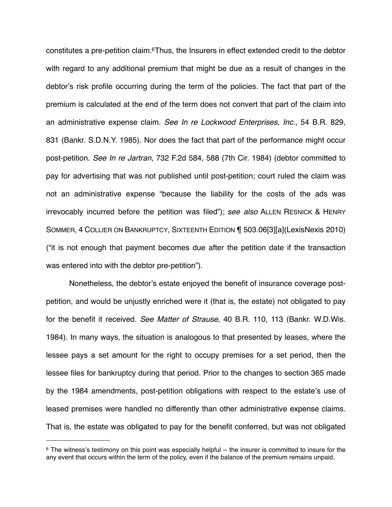constitutes a pre-petition claim[.6T](#page-6-0)hus, the Insurers in effect extended credit to the debtor with regard to any additional premium that might be due as a result of changes in the debtor's risk profile occurring during the term of the policies. The fact that part of the premium is calculated at the end of the term does not convert that part of the claim into an administrative expense claim. *See In re Lockwood Enterprises, Inc.*, 54 B.R. 829, 831 (Bankr. S.D.N.Y. 1985). Nor does the fact that part of the performance might occur post-petition. *See In re Jartran*, 732 F.2d 584, 588 (7th Cir. 1984) (debtor committed to pay for advertising that was not published until post-petition; court ruled the claim was not an administrative expense "because the liability for the costs of the ads was irrevocably incurred before the petition was filed"); *see also* ALLEN RESNICK & HENRY SOMMER, 4 COLLIER ON BANKRUPTCY, SIXTEENTH EDITION ¶ 503.06[3][a](LexisNexis 2010) ("it is not enough that payment becomes due after the petition date if the transaction was entered into with the debtor pre-petition").

Nonetheless, the debtor's estate enjoyed the benefit of insurance coverage postpetition, and would be unjustly enriched were it (that is, the estate) not obligated to pay for the benefit it received. *See Matter of Strause*, 40 B.R. 110, 113 (Bankr. W.D.Wis. 1984). In many ways, the situation is analogous to that presented by leases, where the lessee pays a set amount for the right to occupy premises for a set period, then the lessee files for bankruptcy during that period. Prior to the changes to section 365 made by the 1984 amendments, post-petition obligations with respect to the estate's use of leased premises were handled no differently than other administrative expense claims. That is, the estate was obligated to pay for the benefit conferred, but was not obligated

<span id="page-6-0"></span><sup>&</sup>lt;sup>6</sup> The witness's testimony on this point was especially helpful -- the insurer is committed to insure for the any event that occurs within the term of the policy, even if the balance of the premium remains unpaid.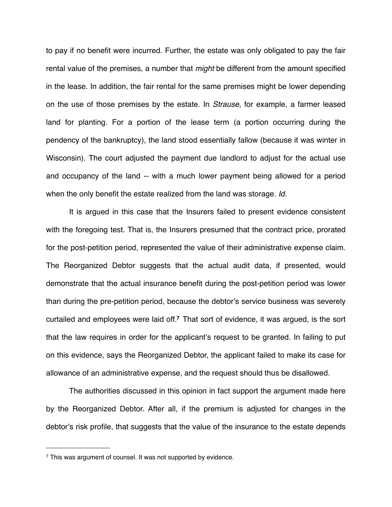to pay if no benefit were incurred. Further, the estate was only obligated to pay the fair rental value of the premises, a number that *might* be different from the amount specified in the lease. In addition, the fair rental for the same premises might be lower depending on the use of those premises by the estate. In *Strause*, for example, a farmer leased land for planting. For a portion of the lease term (a portion occurring during the pendency of the bankruptcy), the land stood essentially fallow (because it was winter in Wisconsin). The court adjusted the payment due landlord to adjust for the actual use and occupancy of the land -- with a much lower payment being allowed for a period when the only benefit the estate realized from the land was storage. *Id.* 

It is argued in this case that the Insurers failed to present evidence consistent with the foregoing test. That is, the Insurers presumed that the contract price, prorated for the post-petition period, represented the value of their administrative expense claim. The Reorganized Debtor suggests that the actual audit data, if presented, would demonstrate that the actual insurance benefit during the post-petition period was lower than during the pre-petition period, because the debtor's service business was severely curtailed and employees were laid off.**[7](#page-7-0)** That sort of evidence, it was argued, is the sort that the law requires in order for the applicant's request to be granted. In failing to put on this evidence, says the Reorganized Debtor, the applicant failed to make its case for allowance of an administrative expense, and the request should thus be disallowed.

The authorities discussed in this opinion in fact support the argument made here by the Reorganized Debtor. After all, if the premium is adjusted for changes in the debtor's risk profile, that suggests that the value of the insurance to the estate depends

<span id="page-7-0"></span><sup>&</sup>lt;sup>7</sup> This was argument of counsel. It was not supported by evidence.